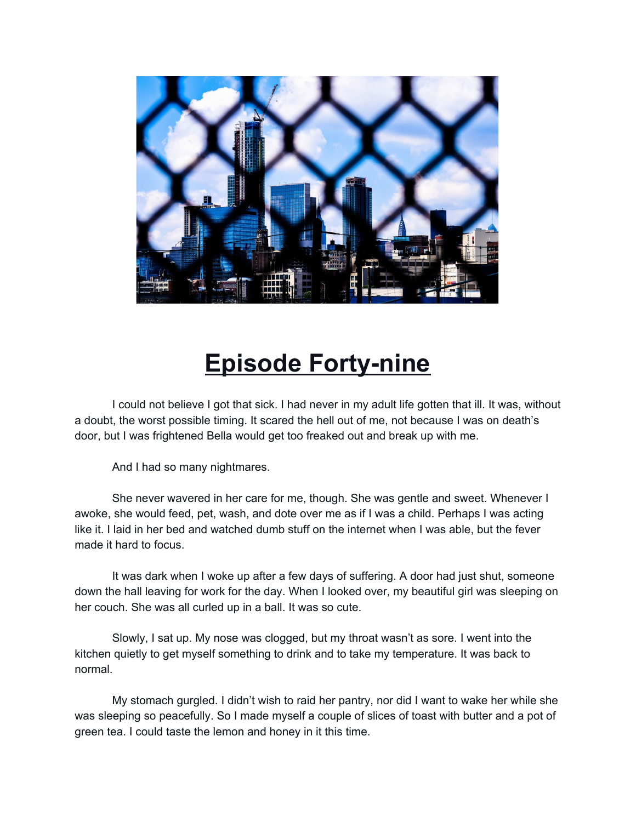

## **Episode Forty-nine**

I could not believe I got that sick. I had never in my adult life gotten that ill. It was, without a doubt, the worst possible timing. It scared the hell out of me, not because I was on death's door, but I was frightened Bella would get too freaked out and break up with me.

And I had so many nightmares.

She never wavered in her care for me, though. She was gentle and sweet. Whenever I awoke, she would feed, pet, wash, and dote over me as if I was a child. Perhaps I was acting like it. I laid in her bed and watched dumb stuff on the internet when I was able, but the fever made it hard to focus.

It was dark when I woke up after a few days of suffering. A door had just shut, someone down the hall leaving for work for the day. When I looked over, my beautiful girl was sleeping on her couch. She was all curled up in a ball. It was so cute.

Slowly, I sat up. My nose was clogged, but my throat wasn't as sore. I went into the kitchen quietly to get myself something to drink and to take my temperature. It was back to normal.

My stomach gurgled. I didn't wish to raid her pantry, nor did I want to wake her while she was sleeping so peacefully. So I made myself a couple of slices of toast with butter and a pot of green tea. I could taste the lemon and honey in it this time.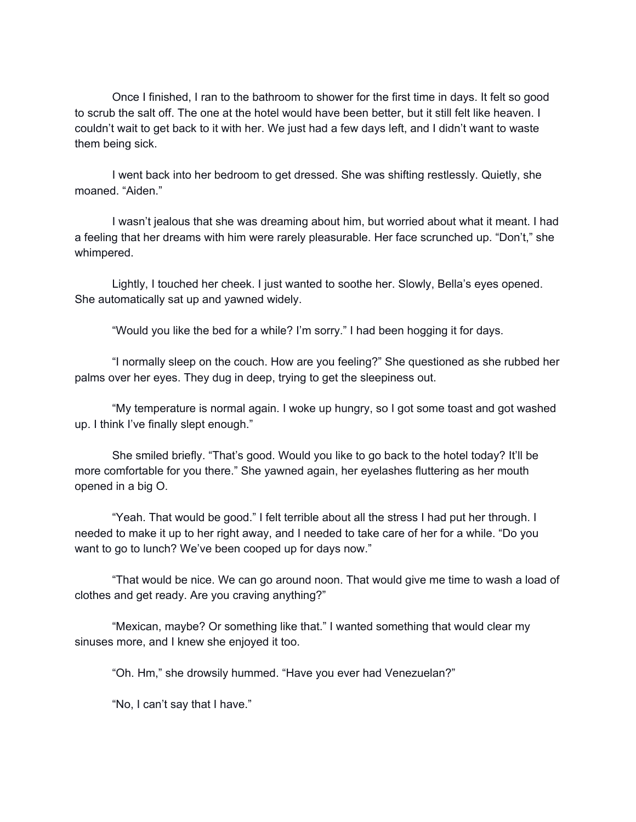Once I finished, I ran to the bathroom to shower for the first time in days. It felt so good to scrub the salt off. The one at the hotel would have been better, but it still felt like heaven. I couldn't wait to get back to it with her. We just had a few days left, and I didn't want to waste them being sick.

I went back into her bedroom to get dressed. She was shifting restlessly. Quietly, she moaned. "Aiden."

I wasn't jealous that she was dreaming about him, but worried about what it meant. I had a feeling that her dreams with him were rarely pleasurable. Her face scrunched up. "Don't," she whimpered.

Lightly, I touched her cheek. I just wanted to soothe her. Slowly, Bella's eyes opened. She automatically sat up and yawned widely.

"Would you like the bed for a while? I'm sorry." I had been hogging it for days.

"I normally sleep on the couch. How are you feeling?" She questioned as she rubbed her palms over her eyes. They dug in deep, trying to get the sleepiness out.

"My temperature is normal again. I woke up hungry, so I got some toast and got washed up. I think I've finally slept enough."

She smiled briefly. "That's good. Would you like to go back to the hotel today? It'll be more comfortable for you there." She yawned again, her eyelashes fluttering as her mouth opened in a big O.

"Yeah. That would be good." I felt terrible about all the stress I had put her through. I needed to make it up to her right away, and I needed to take care of her for a while. "Do you want to go to lunch? We've been cooped up for days now."

"That would be nice. We can go around noon. That would give me time to wash a load of clothes and get ready. Are you craving anything?"

"Mexican, maybe? Or something like that." I wanted something that would clear my sinuses more, and I knew she enjoyed it too.

"Oh. Hm," she drowsily hummed. "Have you ever had Venezuelan?"

"No, I can't say that I have."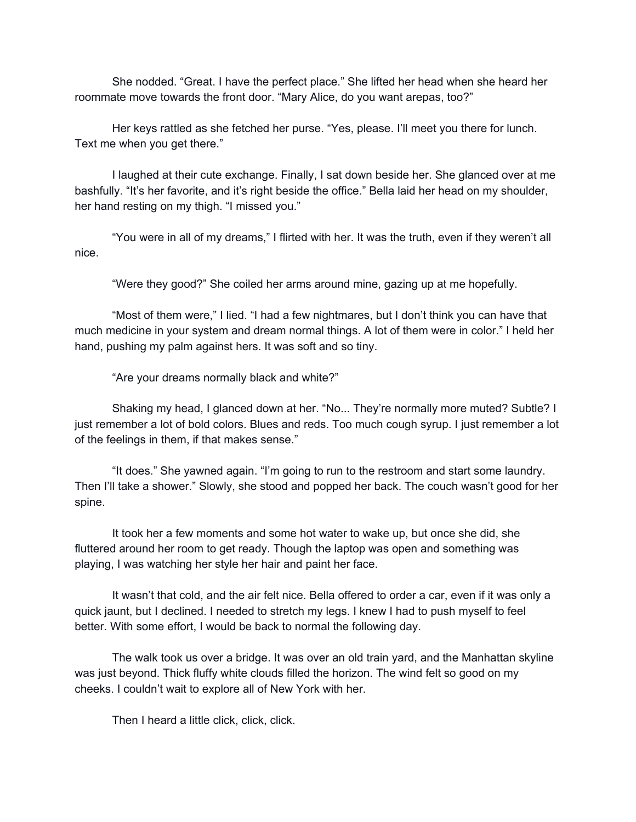She nodded. "Great. I have the perfect place." She lifted her head when she heard her roommate move towards the front door. "Mary Alice, do you want arepas, too?"

Her keys rattled as she fetched her purse. "Yes, please. I'll meet you there for lunch. Text me when you get there."

I laughed at their cute exchange. Finally, I sat down beside her. She glanced over at me bashfully. "It's her favorite, and it's right beside the office." Bella laid her head on my shoulder, her hand resting on my thigh. "I missed you."

"You were in all of my dreams," I flirted with her. It was the truth, even if they weren't all nice.

"Were they good?" She coiled her arms around mine, gazing up at me hopefully.

"Most of them were," I lied. "I had a few nightmares, but I don't think you can have that much medicine in your system and dream normal things. A lot of them were in color." I held her hand, pushing my palm against hers. It was soft and so tiny.

"Are your dreams normally black and white?"

Shaking my head, I glanced down at her. "No... They're normally more muted? Subtle? I just remember a lot of bold colors. Blues and reds. Too much cough syrup. I just remember a lot of the feelings in them, if that makes sense."

"It does." She yawned again. "I'm going to run to the restroom and start some laundry. Then I'll take a shower." Slowly, she stood and popped her back. The couch wasn't good for her spine.

It took her a few moments and some hot water to wake up, but once she did, she fluttered around her room to get ready. Though the laptop was open and something was playing, I was watching her style her hair and paint her face.

It wasn't that cold, and the air felt nice. Bella offered to order a car, even if it was only a quick jaunt, but I declined. I needed to stretch my legs. I knew I had to push myself to feel better. With some effort, I would be back to normal the following day.

The walk took us over a bridge. It was over an old train yard, and the Manhattan skyline was just beyond. Thick fluffy white clouds filled the horizon. The wind felt so good on my cheeks. I couldn't wait to explore all of New York with her.

Then I heard a little click, click, click.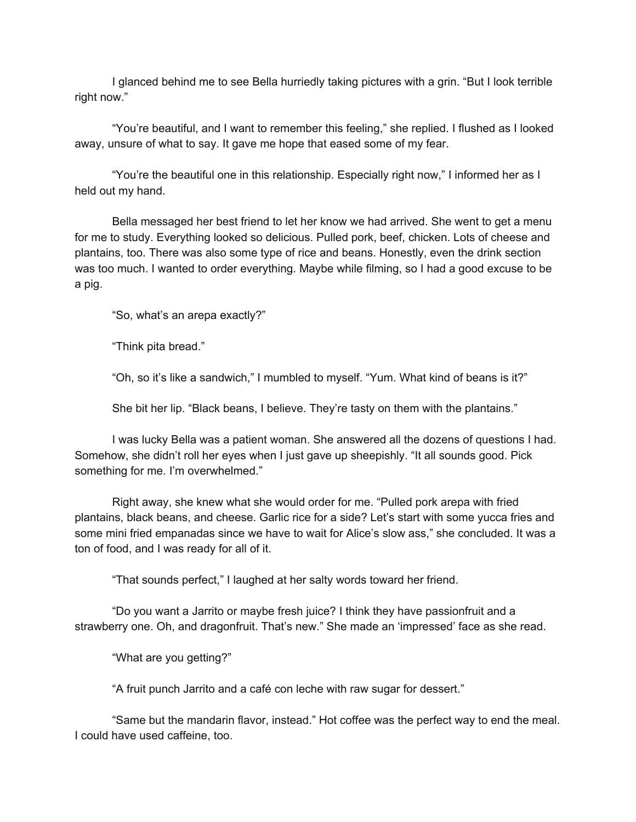I glanced behind me to see Bella hurriedly taking pictures with a grin. "But I look terrible right now."

"You're beautiful, and I want to remember this feeling," she replied. I flushed as I looked away, unsure of what to say. It gave me hope that eased some of my fear.

"You're the beautiful one in this relationship. Especially right now," I informed her as I held out my hand.

Bella messaged her best friend to let her know we had arrived. She went to get a menu for me to study. Everything looked so delicious. Pulled pork, beef, chicken. Lots of cheese and plantains, too. There was also some type of rice and beans. Honestly, even the drink section was too much. I wanted to order everything. Maybe while filming, so I had a good excuse to be a pig.

"So, what's an arepa exactly?"

"Think pita bread."

"Oh, so it's like a sandwich," I mumbled to myself. "Yum. What kind of beans is it?"

She bit her lip. "Black beans, I believe. They're tasty on them with the plantains."

I was lucky Bella was a patient woman. She answered all the dozens of questions I had. Somehow, she didn't roll her eyes when I just gave up sheepishly. "It all sounds good. Pick something for me. I'm overwhelmed."

Right away, she knew what she would order for me. "Pulled pork arepa with fried plantains, black beans, and cheese. Garlic rice for a side? Let's start with some yucca fries and some mini fried empanadas since we have to wait for Alice's slow ass," she concluded. It was a ton of food, and I was ready for all of it.

"That sounds perfect," I laughed at her salty words toward her friend.

"Do you want a Jarrito or maybe fresh juice? I think they have passionfruit and a strawberry one. Oh, and dragonfruit. That's new." She made an 'impressed' face as she read.

"What are you getting?"

"A fruit punch Jarrito and a café con leche with raw sugar for dessert."

"Same but the mandarin flavor, instead." Hot coffee was the perfect way to end the meal. I could have used caffeine, too.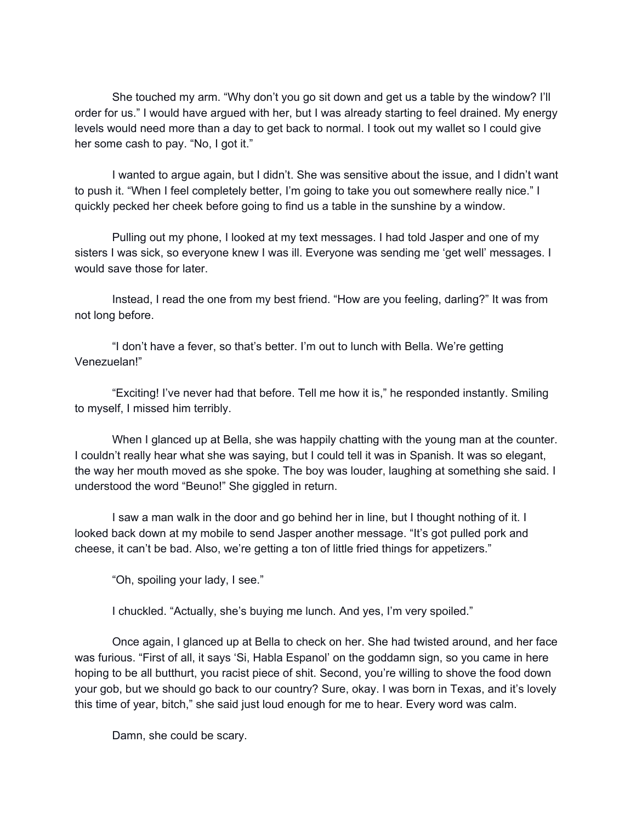She touched my arm. "Why don't you go sit down and get us a table by the window? I'll order for us." I would have argued with her, but I was already starting to feel drained. My energy levels would need more than a day to get back to normal. I took out my wallet so I could give her some cash to pay. "No, I got it."

I wanted to argue again, but I didn't. She was sensitive about the issue, and I didn't want to push it. "When I feel completely better, I'm going to take you out somewhere really nice." I quickly pecked her cheek before going to find us a table in the sunshine by a window.

Pulling out my phone, I looked at my text messages. I had told Jasper and one of my sisters I was sick, so everyone knew I was ill. Everyone was sending me 'get well' messages. I would save those for later.

Instead, I read the one from my best friend. "How are you feeling, darling?" It was from not long before.

"I don't have a fever, so that's better. I'm out to lunch with Bella. We're getting Venezuelan!"

"Exciting! I've never had that before. Tell me how it is," he responded instantly. Smiling to myself, I missed him terribly.

When I glanced up at Bella, she was happily chatting with the young man at the counter. I couldn't really hear what she was saying, but I could tell it was in Spanish. It was so elegant, the way her mouth moved as she spoke. The boy was louder, laughing at something she said. I understood the word "Beuno!" She giggled in return.

I saw a man walk in the door and go behind her in line, but I thought nothing of it. I looked back down at my mobile to send Jasper another message. "It's got pulled pork and cheese, it can't be bad. Also, we're getting a ton of little fried things for appetizers."

"Oh, spoiling your lady, I see."

I chuckled. "Actually, she's buying me lunch. And yes, I'm very spoiled."

Once again, I glanced up at Bella to check on her. She had twisted around, and her face was furious. "First of all, it says 'Si, Habla Espanol' on the goddamn sign, so you came in here hoping to be all butthurt, you racist piece of shit. Second, you're willing to shove the food down your gob, but we should go back to our country? Sure, okay. I was born in Texas, and it's lovely this time of year, bitch," she said just loud enough for me to hear. Every word was calm.

Damn, she could be scary.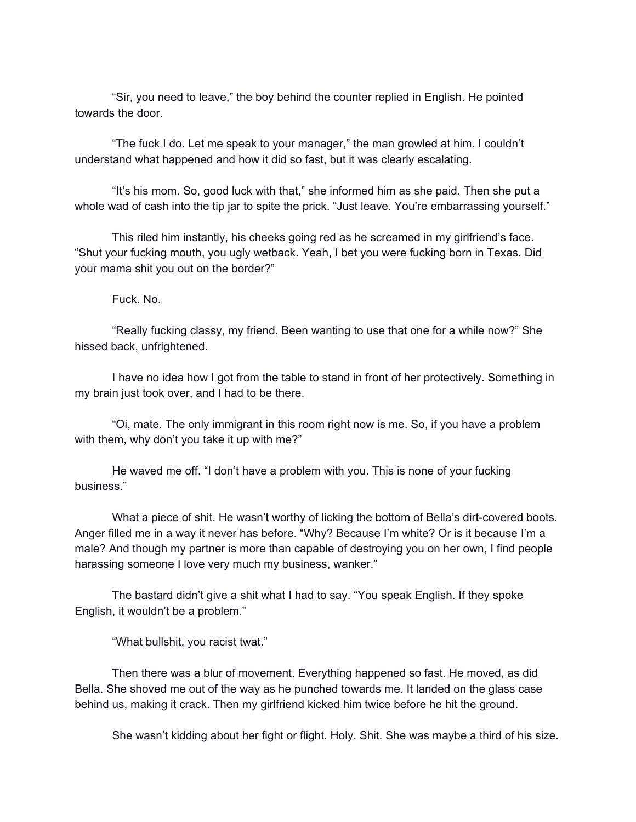"Sir, you need to leave," the boy behind the counter replied in English. He pointed towards the door.

"The fuck I do. Let me speak to your manager," the man growled at him. I couldn't understand what happened and how it did so fast, but it was clearly escalating.

"It's his mom. So, good luck with that," she informed him as she paid. Then she put a whole wad of cash into the tip jar to spite the prick. "Just leave. You're embarrassing yourself."

This riled him instantly, his cheeks going red as he screamed in my girlfriend's face. "Shut your fucking mouth, you ugly wetback. Yeah, I bet you were fucking born in Texas. Did your mama shit you out on the border?"

Fuck. No.

"Really fucking classy, my friend. Been wanting to use that one for a while now?" She hissed back, unfrightened.

I have no idea how I got from the table to stand in front of her protectively. Something in my brain just took over, and I had to be there.

"Oi, mate. The only immigrant in this room right now is me. So, if you have a problem with them, why don't you take it up with me?"

He waved me off. "I don't have a problem with you. This is none of your fucking business."

What a piece of shit. He wasn't worthy of licking the bottom of Bella's dirt-covered boots. Anger filled me in a way it never has before. "Why? Because I'm white? Or is it because I'm a male? And though my partner is more than capable of destroying you on her own, I find people harassing someone I love very much my business, wanker."

The bastard didn't give a shit what I had to say. "You speak English. If they spoke English, it wouldn't be a problem."

"What bullshit, you racist twat."

Then there was a blur of movement. Everything happened so fast. He moved, as did Bella. She shoved me out of the way as he punched towards me. It landed on the glass case behind us, making it crack. Then my girlfriend kicked him twice before he hit the ground.

She wasn't kidding about her fight or flight. Holy. Shit. She was maybe a third of his size.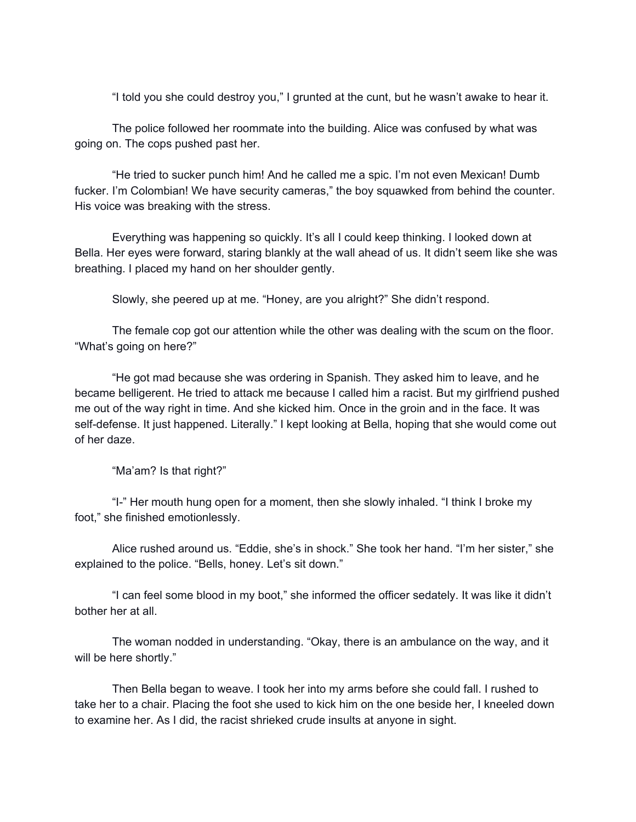"I told you she could destroy you," I grunted at the cunt, but he wasn't awake to hear it.

The police followed her roommate into the building. Alice was confused by what was going on. The cops pushed past her.

"He tried to sucker punch him! And he called me a spic. I'm not even Mexican! Dumb fucker. I'm Colombian! We have security cameras," the boy squawked from behind the counter. His voice was breaking with the stress.

Everything was happening so quickly. It's all I could keep thinking. I looked down at Bella. Her eyes were forward, staring blankly at the wall ahead of us. It didn't seem like she was breathing. I placed my hand on her shoulder gently.

Slowly, she peered up at me. "Honey, are you alright?" She didn't respond.

The female cop got our attention while the other was dealing with the scum on the floor. "What's going on here?"

"He got mad because she was ordering in Spanish. They asked him to leave, and he became belligerent. He tried to attack me because I called him a racist. But my girlfriend pushed me out of the way right in time. And she kicked him. Once in the groin and in the face. It was self-defense. It just happened. Literally." I kept looking at Bella, hoping that she would come out of her daze.

"Ma'am? Is that right?"

"I-" Her mouth hung open for a moment, then she slowly inhaled. "I think I broke my foot," she finished emotionlessly.

Alice rushed around us. "Eddie, she's in shock." She took her hand. "I'm her sister," she explained to the police. "Bells, honey. Let's sit down."

"I can feel some blood in my boot," she informed the officer sedately. It was like it didn't bother her at all.

The woman nodded in understanding. "Okay, there is an ambulance on the way, and it will be here shortly."

Then Bella began to weave. I took her into my arms before she could fall. I rushed to take her to a chair. Placing the foot she used to kick him on the one beside her, I kneeled down to examine her. As I did, the racist shrieked crude insults at anyone in sight.